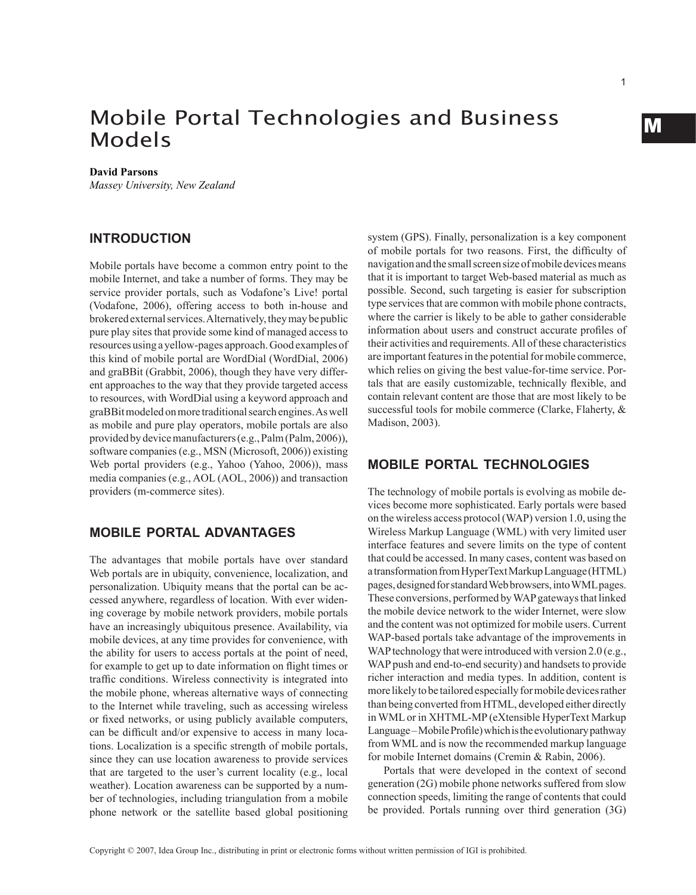# Mobile Portal Technologies and Business Models

#### **David Parsons**

*Massey University, New Zealand*

#### **Introduction**

Mobile portals have become a common entry point to the mobile Internet, and take a number of forms. They may be service provider portals, such as Vodafone's Live! portal (Vodafone, 2006), offering access to both in-house and brokered external services. Alternatively, they may be public pure play sites that provide some kind of managed access to resources using a yellow-pages approach. Good examples of this kind of mobile portal are WordDial (WordDial, 2006) and graBBit (Grabbit, 2006), though they have very different approaches to the way that they provide targeted access to resources, with WordDial using a keyword approach and graBBit modeled on more traditional search engines. As well as mobile and pure play operators, mobile portals are also provided by device manufacturers (e.g., Palm (Palm, 2006)), software companies (e.g., MSN (Microsoft, 2006)) existing Web portal providers (e.g., Yahoo (Yahoo, 2006)), mass media companies (e.g., AOL (AOL, 2006)) and transaction providers (m-commerce sites).

#### **Mobile portal advantages**

The advantages that mobile portals have over standard Web portals are in ubiquity, convenience, localization, and personalization. Ubiquity means that the portal can be accessed anywhere, regardless of location. With ever widening coverage by mobile network providers, mobile portals have an increasingly ubiquitous presence. Availability, via mobile devices, at any time provides for convenience, with the ability for users to access portals at the point of need, for example to get up to date information on flight times or traffic conditions. Wireless connectivity is integrated into the mobile phone, whereas alternative ways of connecting to the Internet while traveling, such as accessing wireless or fixed networks, or using publicly available computers, can be difficult and/or expensive to access in many locations. Localization is a specific strength of mobile portals, since they can use location awareness to provide services that are targeted to the user's current locality (e.g., local weather). Location awareness can be supported by a number of technologies, including triangulation from a mobile phone network or the satellite based global positioning

system (GPS). Finally, personalization is a key component of mobile portals for two reasons. First, the difficulty of navigation and the small screen size of mobile devices means that it is important to target Web-based material as much as possible. Second, such targeting is easier for subscription type services that are common with mobile phone contracts, where the carrier is likely to be able to gather considerable information about users and construct accurate profiles of their activities and requirements. All of these characteristics are important features in the potential for mobile commerce, which relies on giving the best value-for-time service. Portals that are easily customizable, technically flexible, and contain relevant content are those that are most likely to be successful tools for mobile commerce (Clarke, Flaherty, & Madison, 2003).

# **Mobile portal technologies**

The technology of mobile portals is evolving as mobile devices become more sophisticated. Early portals were based on the wireless access protocol (WAP) version 1.0, using the Wireless Markup Language (WML) with very limited user interface features and severe limits on the type of content that could be accessed. In many cases, content was based on a transformation from HyperText Markup Language (HTML) pages, designed for standard Web browsers, into WML pages. These conversions, performed by WAP gateways that linked the mobile device network to the wider Internet, were slow and the content was not optimized for mobile users. Current WAP-based portals take advantage of the improvements in WAP technology that were introduced with version 2.0 (e.g., WAP push and end-to-end security) and handsets to provide richer interaction and media types. In addition, content is more likely to be tailored especially for mobile devices rather than being converted from HTML, developed either directly in WML or in XHTML-MP (eXtensible HyperText Markup Language – Mobile Profile) which is the evolutionary pathway from WML and is now the recommended markup language for mobile Internet domains (Cremin & Rabin, 2006).

Portals that were developed in the context of second generation (2G) mobile phone networks suffered from slow connection speeds, limiting the range of contents that could be provided. Portals running over third generation (3G)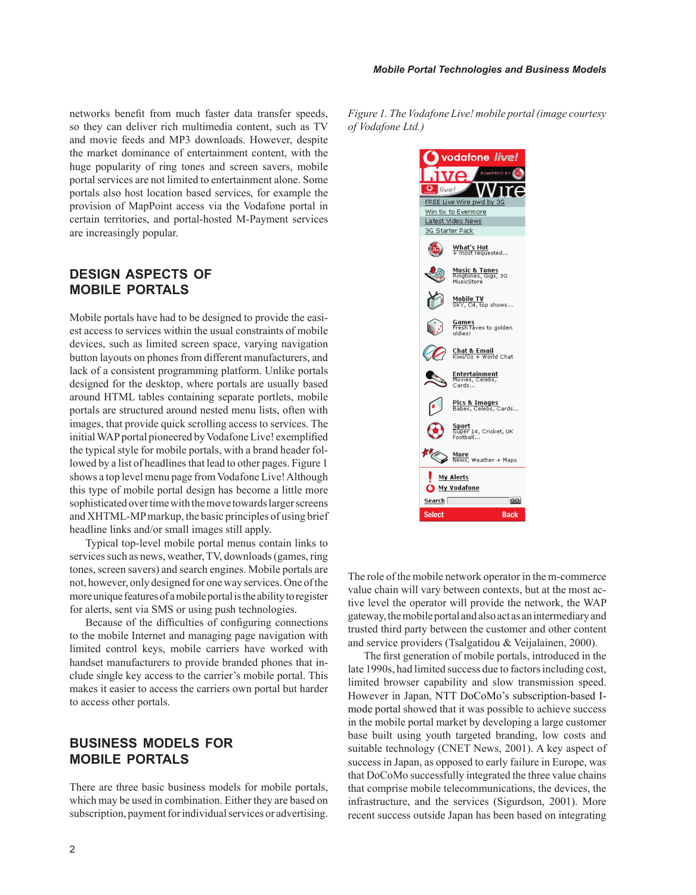networks benefit from much faster data transfer speeds, so they can deliver rich multimedia content, such as TV and movie feeds and MP3 downloads. However, despite the market dominance of entertainment content, with the huge popularity of ring tones and screen savers, mobile portal services are not limited to entertainment alone. Some portals also host location based services, for example the provision of MapPoint access via the Vodafone portal in certain territories, and portal-hosted M-Payment services are increasingly popular.

### **Design aspects of mobile portals**

Mobile portals have had to be designed to provide the easiest access to services within the usual constraints of mobile devices, such as limited screen space, varying navigation button layouts on phones from different manufacturers, and lack of a consistent programming platform. Unlike portals designed for the desktop, where portals are usually based around HTML tables containing separate portlets, mobile portals are structured around nested menu lists, often with images, that provide quick scrolling access to services. The initial WAP portal pioneered by Vodafone Live! exemplified the typical style for mobile portals, with a brand header followed by a list of headlines that lead to other pages. Figure 1 shows a top level menu page from Vodafone Live! Although this type of mobile portal design has become a little more sophisticated over time with the move towards larger screens and XHTML-MP markup, the basic principles of using brief headline links and/or small images still apply.

Typical top-level mobile portal menus contain links to services such as news, weather, TV, downloads (games, ring tones, screen savers) and search engines. Mobile portals are not, however, only designed for one way services. One of the more unique features of a mobile portal is the ability to register for alerts, sent via SMS or using push technologies.

Because of the difficulties of configuring connections to the mobile Internet and managing page navigation with limited control keys, mobile carriers have worked with handset manufacturers to provide branded phones that include single key access to the carrier's mobile portal. This makes it easier to access the carriers own portal but harder to access other portals.

#### **Business models for mobile portals**

There are three basic business models for mobile portals, which may be used in combination. Either they are based on subscription, payment for individual services or advertising.

*Figure 1. The Vodafone Live! mobile portal (image courtesy of Vodafone Ltd.)*



The role of the mobile network operator in the m-commerce value chain will vary between contexts, but at the most active level the operator will provide the network, the WAP gateway, the mobile portal and also act as an intermediary and trusted third party between the customer and other content and service providers (Tsalgatidou & Veijalainen, 2000).

The first generation of mobile portals, introduced in the late 1990s, had limited success due to factors including cost, limited browser capability and slow transmission speed. However in Japan, NTT DoCoMo's subscription-based Imode portal showed that it was possible to achieve success in the mobile portal market by developing a large customer base built using youth targeted branding, low costs and suitable technology (CNET News, 2001). A key aspect of success in Japan, as opposed to early failure in Europe, was that DoCoMo successfully integrated the three value chains that comprise mobile telecommunications, the devices, the infrastructure, and the services (Sigurdson, 2001). More recent success outside Japan has been based on integrating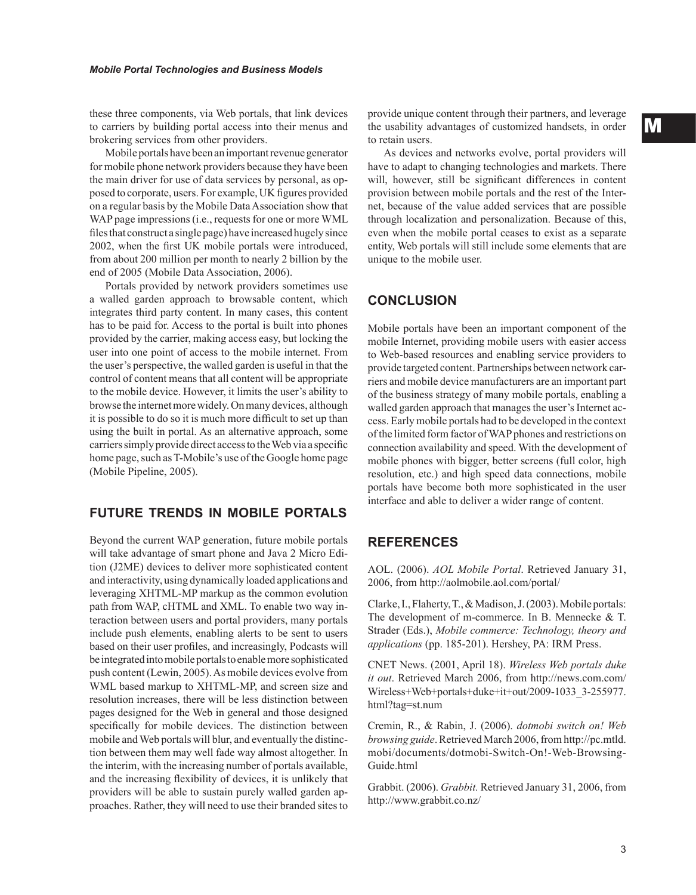these three components, via Web portals, that link devices provide unique content through their partners, and leverage to carriers by building portal access into their menus and the usability advantages of customized hands to carriers by building portal access into their menus and brokering services from other providers.

Mobile portals have been an important revenue generator for mobile phone network providers because they have been the main driver for use of data services by personal, as opposed to corporate, users. For example, UK figures provided on a regular basis by the Mobile Data Association show that WAP page impressions (i.e., requests for one or more WML files that construct a single page) have increased hugely since 2002, when the first UK mobile portals were introduced, from about 200 million per month to nearly 2 billion by the end of 2005 (Mobile Data Association, 2006).

Portals provided by network providers sometimes use a walled garden approach to browsable content, which integrates third party content. In many cases, this content has to be paid for. Access to the portal is built into phones provided by the carrier, making access easy, but locking the user into one point of access to the mobile internet. From the user's perspective, the walled garden is useful in that the control of content means that all content will be appropriate to the mobile device. However, it limits the user's ability to browse the internet more widely. On many devices, although it is possible to do so it is much more difficult to set up than using the built in portal. As an alternative approach, some carriers simply provide direct access to the Web via a specific home page, such as T-Mobile's use of the Google home page (Mobile Pipeline, 2005).

### **Future trends in mobile portals**

Beyond the current WAP generation, future mobile portals will take advantage of smart phone and Java 2 Micro Edition (J2ME) devices to deliver more sophisticated content and interactivity, using dynamically loaded applications and leveraging XHTML-MP markup as the common evolution path from WAP, cHTML and XML. To enable two way interaction between users and portal providers, many portals include push elements, enabling alerts to be sent to users based on their user profiles, and increasingly, Podcasts will be integrated into mobile portals to enable more sophisticated push content (Lewin, 2005). As mobile devices evolve from WML based markup to XHTML-MP, and screen size and resolution increases, there will be less distinction between pages designed for the Web in general and those designed specifically for mobile devices. The distinction between mobile and Web portals will blur, and eventually the distinction between them may well fade way almost altogether. In the interim, with the increasing number of portals available, and the increasing flexibility of devices, it is unlikely that providers will be able to sustain purely walled garden approaches. Rather, they will need to use their branded sites to

provide unique content through their partners, and leverage to retain users.

As devices and networks evolve, portal providers will have to adapt to changing technologies and markets. There will, however, still be significant differences in content provision between mobile portals and the rest of the Internet, because of the value added services that are possible through localization and personalization. Because of this, even when the mobile portal ceases to exist as a separate entity, Web portals will still include some elements that are unique to the mobile user.

#### **Conclusion**

Mobile portals have been an important component of the mobile Internet, providing mobile users with easier access to Web-based resources and enabling service providers to provide targeted content. Partnerships between network carriers and mobile device manufacturers are an important part of the business strategy of many mobile portals, enabling a walled garden approach that manages the user's Internet access. Early mobile portals had to be developed in the context of the limited form factor of WAP phones and restrictions on connection availability and speed. With the development of mobile phones with bigger, better screens (full color, high resolution, etc.) and high speed data connections, mobile portals have become both more sophisticated in the user interface and able to deliver a wider range of content.

#### **References**

AOL. (2006). *AOL Mobile Portal*. Retrieved January 31, 2006, from http://aolmobile.aol.com/portal/

Clarke, I., Flaherty, T., & Madison, J. (2003). Mobile portals: The development of m-commerce. In B. Mennecke & T. Strader (Eds.), *Mobile commerce: Technology, theory and applications* (pp. 185-201). Hershey, PA: IRM Press.

CNET News. (2001, April 18). *Wireless Web portals duke it out*. Retrieved March 2006, from http://news.com.com/ Wireless+Web+portals+duke+it+out/2009-1033\_3-255977. html?tag=st.num

Cremin, R., & Rabin, J. (2006). *dotmobi switch on! Web browsing guide*. Retrieved March 2006, from http://pc.mtld. mobi/documents/dotmobi-Switch-On!-Web-Browsing-Guide.html

Grabbit. (2006). *Grabbit.* Retrieved January 31, 2006, from http://www.grabbit.co.nz/